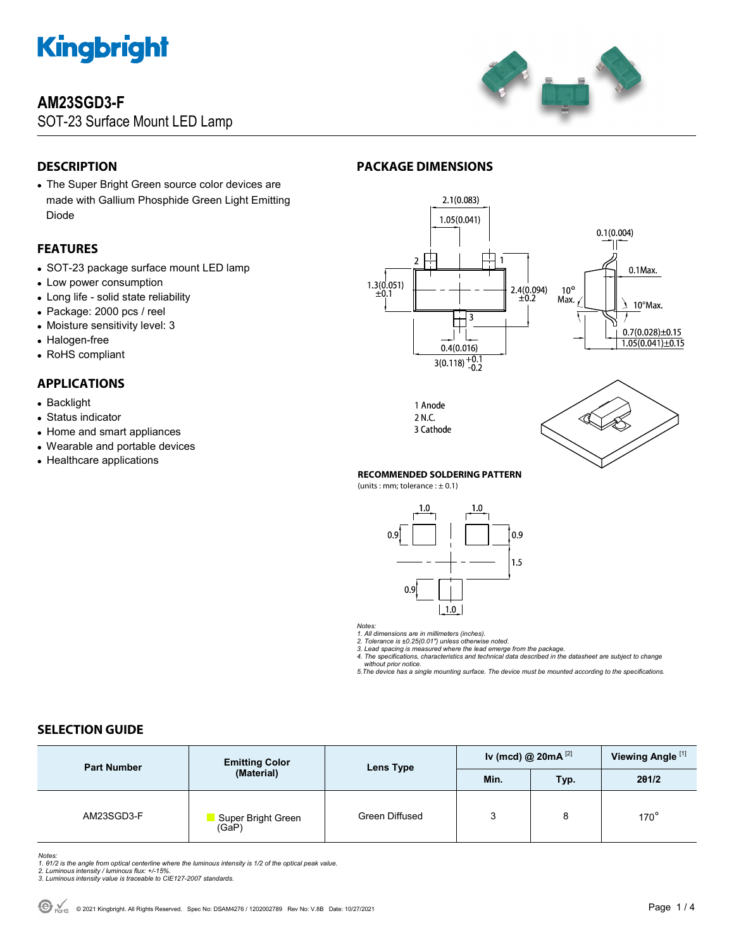

# **AM23SGD3-F**

SOT-23 Surface Mount LED Lamp



# **DESCRIPTION**

 The Super Bright Green source color devices are made with Gallium Phosphide Green Light Emitting Diode

### **FEATURES**

- SOT-23 package surface mount LED lamp
- Low power consumption
- Long life solid state reliability
- Package: 2000 pcs / reel
- Moisture sensitivity level: 3
- Halogen-free
- RoHS compliant

# **APPLICATIONS**

- Backlight
- Status indicator
- Home and smart appliances
- Wearable and portable devices
- Healthcare applications

# **PACKAGE DIMENSIONS**







#### **RECOMMENDED SOLDERING PATTERN**

(units : mm; tolerance  $: \pm 0.1$ )



*Notes:* 

1. All dimensions are in millimeters (inches).<br>2. Tolerance is ±0.25(0.01") unless otherwise noted.<br>3. Lead spacing is measured where the lead emerge from the package.<br>4. The specifications, characteristics and technical d  *without prior notice.* 

*5.The device has a single mounting surface. The device must be mounted according to the specifications.* 

### **SELECTION GUIDE**

| <b>Part Number</b> | <b>Emitting Color</b><br>(Material) | Lens Type      | Iv (mcd) @ $20mA$ <sup>[2]</sup> |            | Viewing Angle <sup>[1]</sup> |
|--------------------|-------------------------------------|----------------|----------------------------------|------------|------------------------------|
|                    |                                     |                | Min.                             | <b>Typ</b> | 201/2                        |
| AM23SGD3-F         | Super Bright Green<br>(GaP)         | Green Diffused | 3                                | 8          | $170^\circ$                  |

- Notes:<br>1. 81/2 is the angle from optical centerline where the luminous intensity is 1/2 of the optical peak value.<br>2. Luminous intensity / luminous flux: +/-15%.<br>3. Luminous intensity value is traceable to CIE127-2007 stan
- 
-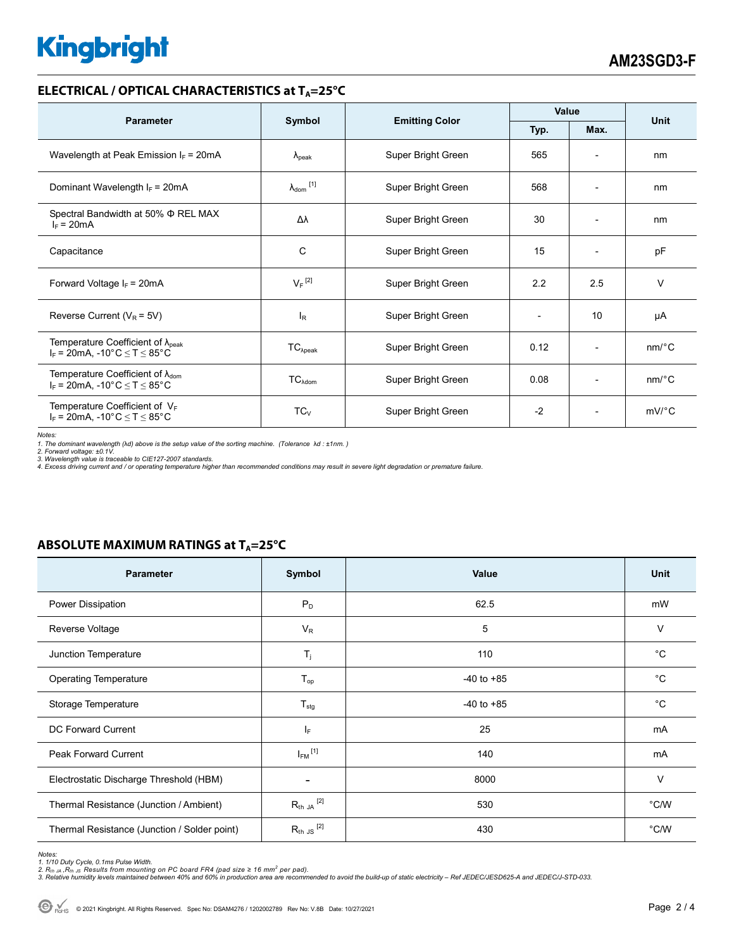# **Kingbright**

#### **ELECTRICAL / OPTICAL CHARACTERISTICS at T<sub>A</sub>=25°C**

| <b>Parameter</b>                                                                              | Symbol                     | <b>Emitting Color</b> | Value |                              | <b>Unit</b>           |
|-----------------------------------------------------------------------------------------------|----------------------------|-----------------------|-------|------------------------------|-----------------------|
|                                                                                               |                            |                       | Typ.  | Max.                         |                       |
| Wavelength at Peak Emission $I_F$ = 20mA                                                      | $\lambda_{\rm peak}$       | Super Bright Green    | 565   | $\overline{\phantom{a}}$     | nm                    |
| Dominant Wavelength $I_F = 20mA$                                                              | $\lambda_{\text{dom}}$ [1] | Super Bright Green    | 568   | $\overline{\phantom{a}}$     | nm                    |
| Spectral Bandwidth at 50% $\Phi$ REL MAX<br>$I_F = 20mA$                                      | Δλ                         | Super Bright Green    | 30    | $\overline{\phantom{0}}$     | nm                    |
| Capacitance                                                                                   | C                          | Super Bright Green    | 15    | $\overline{\phantom{a}}$     | pF                    |
| Forward Voltage $I_F = 20mA$                                                                  | $V_F$ <sup>[2]</sup>       | Super Bright Green    | 2.2   | 2.5                          | $\vee$                |
| Reverse Current ( $V_R$ = 5V)                                                                 | <sub>R</sub>               | Super Bright Green    |       | 10                           | μA                    |
| Temperature Coefficient of $\lambda_{\text{peak}}$<br>$I_F$ = 20mA, -10°C $\leq T \leq 85$ °C | $TC_{\lambda peak}$        | Super Bright Green    | 0.12  | $\overline{\phantom{0}}$     | nm/°C                 |
| Temperature Coefficient of $\lambda_{\text{dom}}$<br>$I_F$ = 20mA, -10°C $\leq T \leq 85$ °C  | $TC_{\lambda dom}$         | Super Bright Green    | 0.08  | $\qquad \qquad \blacksquare$ | $nm$ <sup>o</sup> $C$ |
| Temperature Coefficient of $V_F$<br>$I_F$ = 20mA, -10°C $\leq T \leq 85$ °C                   | $TC_{V}$                   | Super Bright Green    | $-2$  | $\overline{\phantom{a}}$     | $mV$ °C               |

Notes:<br>1. The dominant wavelength (λd) above is the setup value of the sorting machine. (Tolerance λd : ±1nm. )<br>2. Forward voltage: ±0.1V.<br>3. Wavelength value is traceable to CIE127-2007 standards.<br>4. Excess driving cur

## **ABSOLUTE MAXIMUM RATINGS at T<sub>A</sub>=25°C**

| Parameter                                    | Symbol                  | <b>Value</b>   | <b>Unit</b>    |
|----------------------------------------------|-------------------------|----------------|----------------|
| Power Dissipation                            | $P_D$                   | 62.5           | mW             |
| Reverse Voltage                              | $V_R$                   | 5              | V              |
| Junction Temperature                         | $T_{j}$                 | 110            | °C             |
| <b>Operating Temperature</b>                 | $T_{op}$                | $-40$ to $+85$ | $^{\circ}C$    |
| Storage Temperature                          | $T_{\text{stg}}$        | $-40$ to $+85$ | °C             |
| DC Forward Current                           | $I_F$                   | 25             | mA             |
| <b>Peak Forward Current</b>                  | $I_{FM}$ <sup>[1]</sup> | 140            | mA             |
| Electrostatic Discharge Threshold (HBM)      | $\overline{a}$          | 8000           | $\vee$         |
| Thermal Resistance (Junction / Ambient)      | $R_{th}$ ja $^{[2]}$    | 530            | °C/W           |
| Thermal Resistance (Junction / Solder point) | $R_{th}$ JS $^{[2]}$    | 430            | $^{\circ}$ C/W |

Notes:<br>1. 1/10 Duty Cycle, 0.1ms Pulse Width.<br>2. R<sub>th JA</sub> ,R<sub>th JS</sub> Results from mounting on PC board FR4 (pad size ≥ 16 mm<sup>2</sup> per pad).<br>3. Relative humidity levels maintained between 40% and 60% in production area are re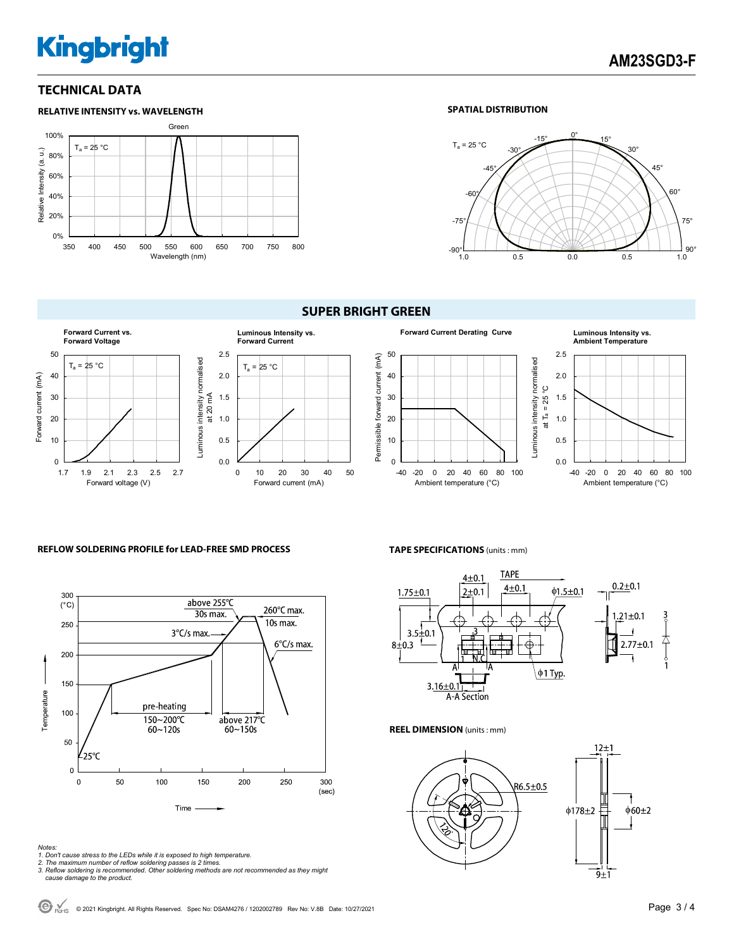# **Kingbright**

### **TECHNICAL DATA**



#### **SPATIAL DISTRIBUTION**



#### **SUPER BRIGHT GREEN**





#### **REFLOW SOLDERING PROFILE for LEAD-FREE SMD PROCESS**



- *Notes: 1. Don't cause stress to the LEDs while it is exposed to high temperature.*
- *2. The maximum number of reflow soldering passes is 2 times. 3. Reflow soldering is recommended. Other soldering methods are not recommended as they might*
- *cause damage to the product.*

**TAPE SPECIFICATIONS** (units : mm)



#### **REEL DIMENSION** (units : mm)



<sup>●●</sup> <sub>RoHS</sub> © 2021 Kingbright. All Rights Reserved. Spec No: DSAM4276 / 1202002789 Rev No: V.8B Date: 10/27/2021<br>
Page 3 / 4